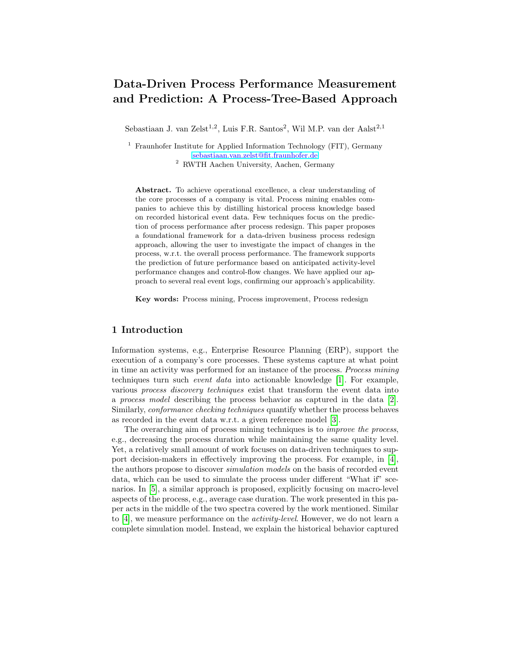# Data-Driven Process Performance Measurement and Prediction: A Process-Tree-Based Approach

Sebastiaan J. van Zelst<sup>1,2</sup>, Luis F.R. Santos<sup>2</sup>, Wil M.P. van der Aalst<sup>2,1</sup>

<sup>1</sup> Fraunhofer Institute for Applied Information Technology (FIT), Germany <sebastiaan.van.zelst@fit.fraunhofer.de> <sup>2</sup> RWTH Aachen University, Aachen, Germany

Abstract. To achieve operational excellence, a clear understanding of the core processes of a company is vital. Process mining enables companies to achieve this by distilling historical process knowledge based on recorded historical event data. Few techniques focus on the prediction of process performance after process redesign. This paper proposes a foundational framework for a data-driven business process redesign approach, allowing the user to investigate the impact of changes in the process, w.r.t. the overall process performance. The framework supports the prediction of future performance based on anticipated activity-level performance changes and control-flow changes. We have applied our approach to several real event logs, confirming our approach's applicability.

Key words: Process mining, Process improvement, Process redesign

## 1 Introduction

Information systems, e.g., Enterprise Resource Planning (ERP), support the execution of a company's core processes. These systems capture at what point in time an activity was performed for an instance of the process. Process mining techniques turn such event data into actionable knowledge [\[1\]](#page-7-0). For example, various process discovery techniques exist that transform the event data into a process model describing the process behavior as captured in the data [\[2\]](#page-7-1). Similarly, conformance checking techniques quantify whether the process behaves as recorded in the event data w.r.t. a given reference model [\[3\]](#page-7-2).

The overarching aim of process mining techniques is to improve the process, e.g., decreasing the process duration while maintaining the same quality level. Yet, a relatively small amount of work focuses on data-driven techniques to support decision-makers in effectively improving the process. For example, in [\[4\]](#page-7-3), the authors propose to discover simulation models on the basis of recorded event data, which can be used to simulate the process under different "What if" scenarios. In [\[5\]](#page-7-4), a similar approach is proposed, explicitly focusing on macro-level aspects of the process, e.g., average case duration. The work presented in this paper acts in the middle of the two spectra covered by the work mentioned. Similar to [\[4\]](#page-7-3), we measure performance on the activity-level. However, we do not learn a complete simulation model. Instead, we explain the historical behavior captured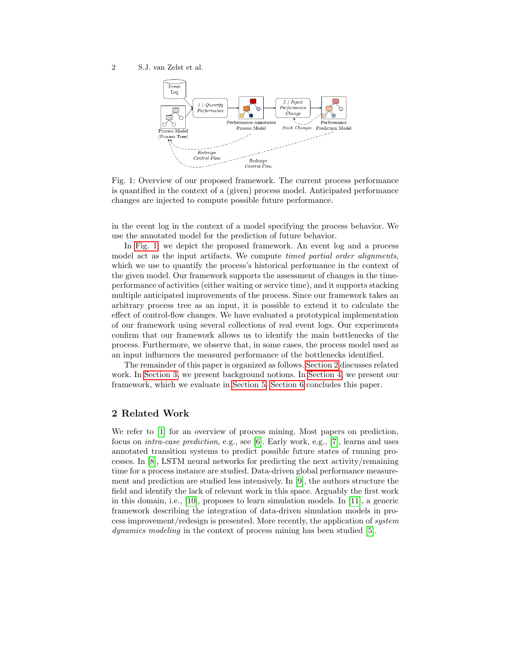<span id="page-1-0"></span>2 S.J. van Zelst et al.



Fig. 1: Overview of our proposed framework. The current process performance is quantified in the context of a (given) process model. Anticipated performance changes are injected to compute possible future performance.

in the event log in the context of a model specifying the process behavior. We use the annotated model for the prediction of future behavior.

In [Fig. 1,](#page-1-0) we depict the proposed framework. An event log and a process model act as the input artifacts. We compute *timed partial order alignments*, which we use to quantify the process's historical performance in the context of the given model. Our framework supports the assessment of changes in the timeperformance of activities (either waiting or service time), and it supports stacking multiple anticipated improvements of the process. Since our framework takes an arbitrary process tree as an input, it is possible to extend it to calculate the effect of control-flow changes. We have evaluated a prototypical implementation of our framework using several collections of real event logs. Our experiments confirm that our framework allows us to identify the main bottlenecks of the process. Furthermore, we observe that, in some cases, the process model used as an input influences the measured performance of the bottlenecks identified.

The remainder of this paper is organized as follows. [Section 2](#page-1-1) discusses related work. In [Section 3,](#page-2-0) we present background notions. In [Section 4,](#page-3-0) we present our framework, which we evaluate in [Section 5.](#page-6-0) [Section 6](#page-6-1) concludes this paper.

## <span id="page-1-1"></span>2 Related Work

We refer to [\[1\]](#page-7-0) for an overview of process mining. Most papers on prediction, focus on intra-case prediction, e.g., see [\[6\]](#page-7-5). Early work, e.g., [\[7\]](#page-7-6), learns and uses annotated transition systems to predict possible future states of running processes. In [\[8\]](#page-7-7), LSTM neural networks for predicting the next activity/remaining time for a process instance are studied. Data-driven global performance measurement and prediction are studied less intensively. In [\[9\]](#page-7-8), the authors structure the field and identify the lack of relevant work in this space. Arguably the first work in this domain, i.e., [\[10\]](#page-7-9), proposes to learn simulation models. In [\[11\]](#page-7-10), a generic framework describing the integration of data-driven simulation models in process improvement/redesign is presented. More recently, the application of system dynamics modeling in the context of process mining has been studied [\[5\]](#page-7-4).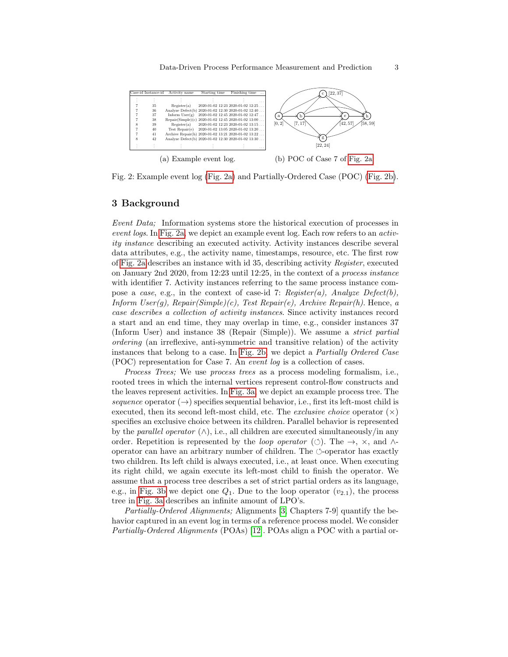<span id="page-2-1"></span>

Fig. 2: Example event log [\(Fig. 2a\)](#page-2-1) and Partially-Ordered Case (POC) [\(Fig. 2b\)](#page-2-1).

## <span id="page-2-0"></span>3 Background

Event Data; Information systems store the historical execution of processes in event logs. In [Fig. 2a,](#page-2-1) we depict an example event log. Each row refers to an activity instance describing an executed activity. Activity instances describe several data attributes, e.g., the activity name, timestamps, resource, etc. The first row of [Fig. 2a](#page-2-1) describes an instance with id 35, describing activity Register, executed on January 2nd 2020, from 12:23 until 12:25, in the context of a process instance with identifier 7. Activity instances referring to the same process instance compose a case, e.g., in the context of case-id 7:  $Register(a)$ , Analyze  $Defect(b)$ , Inform  $User(q)$ , Repair(Simple)(c), Test Repair(e), Archive Repair(h). Hence, a case describes a collection of activity instances. Since activity instances record a start and an end time, they may overlap in time, e.g., consider instances 37 (Inform User) and instance 38 (Repair (Simple)). We assume a strict partial ordering (an irreflexive, anti-symmetric and transitive relation) of the activity instances that belong to a case. In [Fig. 2b,](#page-2-1) we depict a Partially Ordered Case (POC) representation for Case 7. An event log is a collection of cases.

Process Trees; We use process trees as a process modeling formalism, i.e., rooted trees in which the internal vertices represent control-flow constructs and the leaves represent activities. In [Fig. 3a,](#page-3-1) we depict an example process tree. The sequence operator  $(\rightarrow)$  specifies sequential behavior, i.e., first its left-most child is executed, then its second left-most child, etc. The *exclusive choice* operator  $(\times)$ specifies an exclusive choice between its children. Parallel behavior is represented by the *parallel operator*  $(\wedge)$ , i.e., all children are executed simultaneously/in any order. Repetition is represented by the *loop operator* ( $\circ$ ). The  $\rightarrow$ ,  $\times$ , and  $\wedge$ operator can have an arbitrary number of children. The  $\circlearrowleft$ -operator has exactly two children. Its left child is always executed, i.e., at least once. When executing its right child, we again execute its left-most child to finish the operator. We assume that a process tree describes a set of strict partial orders as its language, e.g., in [Fig. 3b](#page-3-1) we depict one  $Q_1$ . Due to the loop operator  $(v_{2,1})$ , the process tree in [Fig. 3a](#page-3-1) describes an infinite amount of LPO's.

Partially-Ordered Alignments; Alignments [\[3,](#page-7-2) Chapters 7-9] quantify the behavior captured in an event log in terms of a reference process model. We consider Partially-Ordered Alignments (POAs) [\[12\]](#page-7-11). POAs align a POC with a partial or-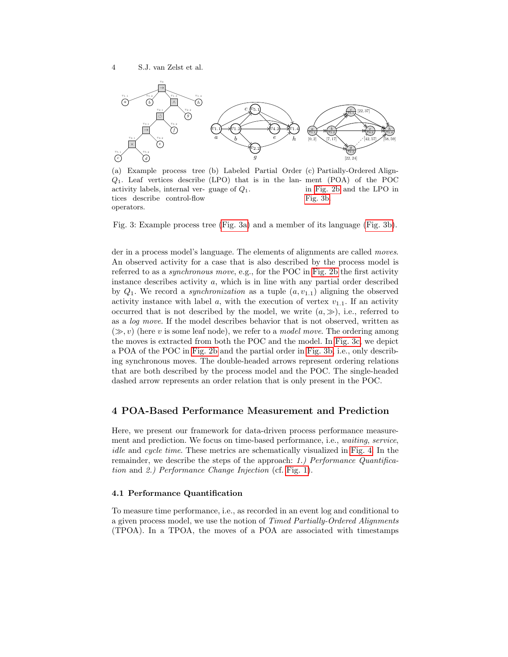<span id="page-3-1"></span>

(a) Example process tree (b) Labeled Partial Order (c) Partially-Ordered Align-Q1. Leaf vertices describe (LPO) that is in the lan-ment (POA) of the POC activity labels, internal ver- guage of  $Q_1$ . tices describe control-flow operators. in [Fig. 2b](#page-2-1) and the LPO in [Fig. 3b.](#page-3-1)

Fig. 3: Example process tree [\(Fig. 3a\)](#page-3-1) and a member of its language [\(Fig. 3b\)](#page-3-1).

der in a process model's language. The elements of alignments are called moves. An observed activity for a case that is also described by the process model is referred to as a synchronous move, e.g., for the POC in [Fig. 2b](#page-2-1) the first activity instance describes activity a, which is in line with any partial order described by  $Q_1$ . We record a *synchronization* as a tuple  $(a, v_{1,1})$  aligning the observed activity instance with label a, with the execution of vertex  $v_{1,1}$ . If an activity occurred that is not described by the model, we write  $(a, \gg)$ , i.e., referred to as a log move. If the model describes behavior that is not observed, written as  $(\gg, v)$  (here v is some leaf node), we refer to a *model move*. The ordering among the moves is extracted from both the POC and the model. In [Fig. 3c,](#page-3-1) we depict a POA of the POC in [Fig. 2b](#page-2-1) and the partial order in [Fig. 3b,](#page-3-1) i.e., only describing synchronous moves. The double-headed arrows represent ordering relations that are both described by the process model and the POC. The single-headed dashed arrow represents an order relation that is only present in the POC.

## <span id="page-3-0"></span>4 POA-Based Performance Measurement and Prediction

Here, we present our framework for data-driven process performance measurement and prediction. We focus on time-based performance, i.e., waiting, service, idle and cycle time. These metrics are schematically visualized in [Fig. 4.](#page-4-0) In the remainder, we describe the steps of the approach: 1.) Performance Quantification and 2.) Performance Change Injection (cf. [Fig. 1\)](#page-1-0).

### 4.1 Performance Quantification

To measure time performance, i.e., as recorded in an event log and conditional to a given process model, we use the notion of Timed Partially-Ordered Alignments (TPOA). In a TPOA, the moves of a POA are associated with timestamps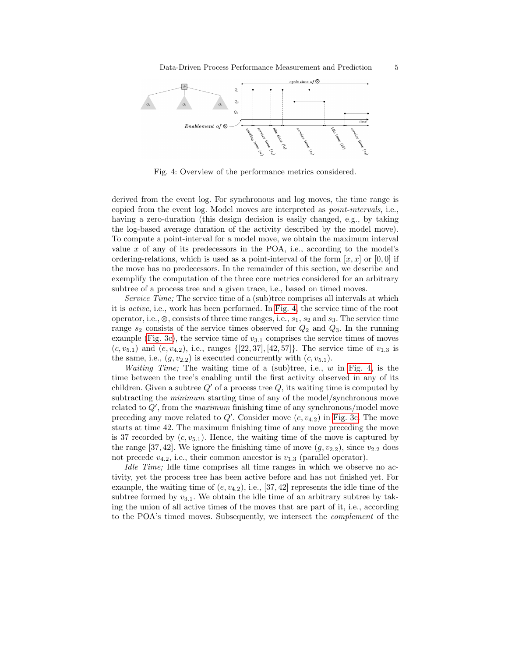<span id="page-4-0"></span>

Fig. 4: Overview of the performance metrics considered.

derived from the event log. For synchronous and log moves, the time range is copied from the event log. Model moves are interpreted as point-intervals, i.e., having a zero-duration (this design decision is easily changed, e.g., by taking the log-based average duration of the activity described by the model move). To compute a point-interval for a model move, we obtain the maximum interval value  $x$  of any of its predecessors in the POA, i.e., according to the model's ordering-relations, which is used as a point-interval of the form  $[x, x]$  or  $[0, 0]$  if the move has no predecessors. In the remainder of this section, we describe and exemplify the computation of the three core metrics considered for an arbitrary subtree of a process tree and a given trace, i.e., based on timed moves.

Service Time; The service time of a (sub)tree comprises all intervals at which it is active, i.e., work has been performed. In [Fig. 4,](#page-4-0) the service time of the root operator, i.e.,  $\otimes$ , consists of three time ranges, i.e.,  $s_1$ ,  $s_2$  and  $s_3$ . The service time range  $s_2$  consists of the service times observed for  $Q_2$  and  $Q_3$ . In the running example [\(Fig. 3c\)](#page-3-1), the service time of  $v_{3,1}$  comprises the service times of moves  $(c, v_{5.1})$  and  $(e, v_{4.2})$ , i.e., ranges  $\{[22, 37], [42, 57]\}$ . The service time of  $v_{1.3}$  is the same, i.e.,  $(q, v_{2,2})$  is executed concurrently with  $(c, v_{5,1})$ .

*Waiting Time*; The waiting time of a (sub)tree, i.e.,  $w$  in [Fig. 4,](#page-4-0) is the time between the tree's enabling until the first activity observed in any of its children. Given a subtree  $Q'$  of a process tree  $Q$ , its waiting time is computed by subtracting the *minimum* starting time of any of the model/synchronous move related to  $Q'$ , from the *maximum* finishing time of any synchronous/model move preceding any move related to  $Q'$ . Consider move  $(e, v_{4.2})$  in [Fig. 3c.](#page-3-1) The move starts at time 42. The maximum finishing time of any move preceding the move is 37 recorded by  $(c, v_{5.1})$ . Hence, the waiting time of the move is captured by the range [37, 42]. We ignore the finishing time of move  $(g, v_{2,2})$ , since  $v_{2,2}$  does not precede  $v_{4,2}$ , i.e., their common ancestor is  $v_{1,3}$  (parallel operator).

Idle Time; Idle time comprises all time ranges in which we observe no activity, yet the process tree has been active before and has not finished yet. For example, the waiting time of  $(e, v_{4.2})$ , i.e., [37, 42] represents the idle time of the subtree formed by  $v_{3,1}$ . We obtain the idle time of an arbitrary subtree by taking the union of all active times of the moves that are part of it, i.e., according to the POA's timed moves. Subsequently, we intersect the complement of the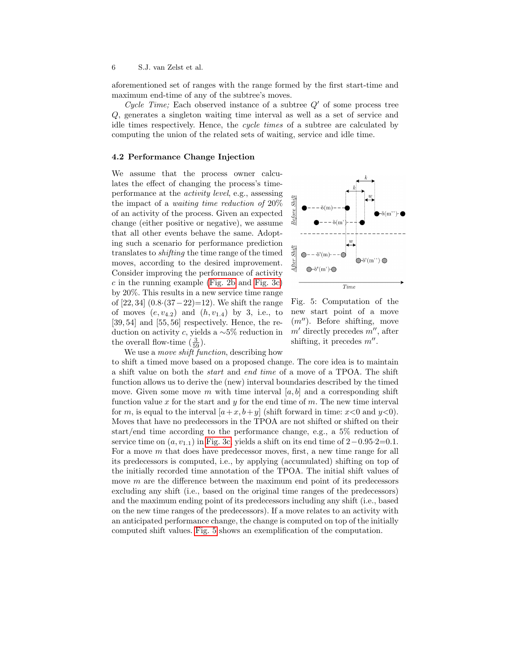6 S.J. van Zelst et al.

aforementioned set of ranges with the range formed by the first start-time and maximum end-time of any of the subtree's moves.

Cycle Time; Each observed instance of a subtree  $Q'$  of some process tree Q, generates a singleton waiting time interval as well as a set of service and idle times respectively. Hence, the cycle times of a subtree are calculated by computing the union of the related sets of waiting, service and idle time.

#### 4.2 Performance Change Injection

We assume that the process owner calculates the effect of changing the process's timeperformance at the activity level, e.g., assessing the impact of a waiting time reduction of 20% of an activity of the process. Given an expected change (either positive or negative), we assume that all other events behave the same. Adopting such a scenario for performance prediction translates to shifting the time range of the timed moves, according to the desired improvement. Consider improving the performance of activity  $c$  in the running example [\(Fig. 2b](#page-2-1) and [Fig. 3c\)](#page-3-1) by 20%. This results in a new service time range of [22, 34] (0.8·(37−22)=12). We shift the range of moves  $(e, v_{4.2})$  and  $(h, v_{1.4})$  by 3, i.e., to [39, 54] and [55, 56] respectively. Hence, the reduction on activity c, yields a ∼5% reduction in the overall flow-time  $\left(\frac{3}{59}\right)$ .

<span id="page-5-0"></span>

Fig. 5: Computation of the new start point of a move  $(m'')$ . Before shifting, move  $m'$  directly precedes  $m''$ , after shifting, it precedes  $m''$ .

We use a *move shift function*, describing how to shift a timed move based on a proposed change. The core idea is to maintain a shift value on both the start and end time of a move of a TPOA. The shift function allows us to derive the (new) interval boundaries described by the timed move. Given some move m with time interval  $[a, b]$  and a corresponding shift function value  $x$  for the start and  $y$  for the end time of  $m$ . The new time interval for m, is equal to the interval  $[a+x, b+y]$  (shift forward in time:  $x<0$  and  $y<0$ ). Moves that have no predecessors in the TPOA are not shifted or shifted on their start/end time according to the performance change, e.g., a 5% reduction of service time on  $(a, v_{1,1})$  in [Fig. 3c,](#page-3-1) yields a shift on its end time of  $2-0.95·2=0.1$ . For a move m that does have predecessor moves, first, a new time range for all its predecessors is computed, i.e., by applying (accumulated) shifting on top of the initially recorded time annotation of the TPOA. The initial shift values of move  $m$  are the difference between the maximum end point of its predecessors excluding any shift (i.e., based on the original time ranges of the predecessors) and the maximum ending point of its predecessors including any shift (i.e., based on the new time ranges of the predecessors). If a move relates to an activity with an anticipated performance change, the change is computed on top of the initially computed shift values. [Fig. 5](#page-5-0) shows an exemplification of the computation.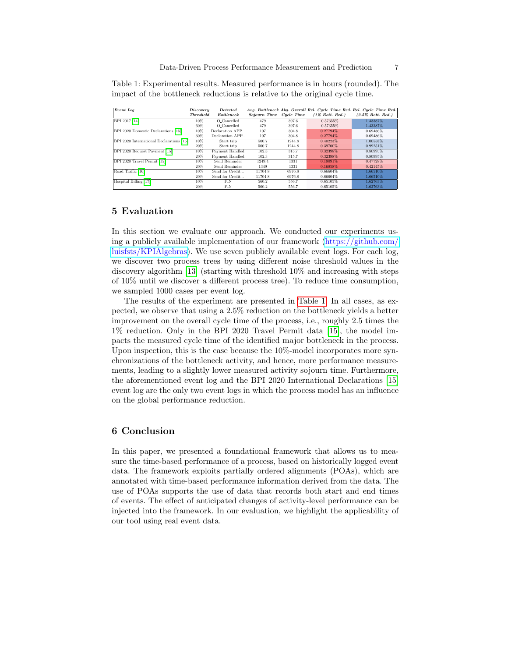| Event Log                                | Discovery        | Detected          |                         |        |                    | Avg. Bottleneck Abg. Overall Rel. Cycle Time Red. Rel. Cycle Time Red. |
|------------------------------------------|------------------|-------------------|-------------------------|--------|--------------------|------------------------------------------------------------------------|
|                                          | <b>Threshold</b> | <b>Bottleneck</b> | Sojourn Time Cucle Time |        | $(1\%$ Bott. Red.) | $(2.5\%$ Bott. Red.)                                                   |
| BPI 2017 [14]                            | 10%              | O.Cancelled       | 479                     | 397.6  | 0.57355%           | 1.43387%                                                               |
|                                          | 60%              | O_Cancelled       | 479                     | 397.6  | 0.57355%           | 1.43387%                                                               |
| BPI 2020 Domestic Declarations [15]      | 10%              | Declaration APP   | 107                     | 304.8  | 0.27794%           | 0.69486%                                                               |
|                                          | 30%              | Declaration APP   | 107                     | 304.8  | 0.27794%           | 0.69486%                                                               |
| BPI 2020 International Declarations [15] | 10%              | Start trip        | 500.7                   | 1244.8 | 0.40223%           | 1.00558%                                                               |
|                                          | 20%              | Start trip        | 500.7                   | 1244.8 | 0.39700%           | 0.99251%                                                               |
| BPI 2020 Request Payment [15]            | 10%              | Payment Handled   | 102.3                   | 315.7  | 0.32398%           | 0.80995%                                                               |
|                                          | 20%              | Payment Handled   | 102.3                   | 315.7  | 0.32398%           | 0.80995%                                                               |
| BPI 2020 Travel Permit [15]              | 10%              | Send Reminder     | 1249.4                  | 1331   | $0.19091\%$        | 0.47728%                                                               |
|                                          | 20%              | Send Reminder     | 1349                    | 1331   | 0.16858%           | 0.42145%                                                               |
| Road Traffic [16]                        | 10%              | Send for Credit   | 11704.8                 | 6976.8 | 0.66604%           | 1.66510%                                                               |
|                                          | 20%              | Send for Credit   | 11704.8                 | 6976.8 | 0.66604%           | 1.66510%                                                               |
| Hospital Billing [17]                    | 10%              | FIN               | 560.2                   | 556.7  | 0.65105%           | 1.62763%                                                               |
|                                          | 20%              | <b>FIN</b>        | 560.2                   | 556.7  | 0.65105%           | 1.62763%                                                               |

<span id="page-6-2"></span>Table 1: Experimental results. Measured performance is in hours (rounded). The impact of the bottleneck reductions is relative to the original cycle time.

## <span id="page-6-0"></span>5 Evaluation

In this section we evaluate our approach. We conducted our experiments using a publicly available implementation of our framework [\(https://github.com/](https://github.com/luisfsts/KPIAlgebras) [luisfsts/KPIAlgebras\)](https://github.com/luisfsts/KPIAlgebras). We use seven publicly available event logs. For each log, we discover two process trees by using different noise threshold values in the discovery algorithm [\[13\]](#page-7-16) (starting with threshold 10% and increasing with steps of 10% until we discover a different process tree). To reduce time consumption, we sampled 1000 cases per event log.

The results of the experiment are presented in [Table 1.](#page-6-2) In all cases, as expected, we observe that using a 2.5% reduction on the bottleneck yields a better improvement on the overall cycle time of the process, i.e., roughly 2.5 times the 1% reduction. Only in the BPI 2020 Travel Permit data [\[15\]](#page-7-13), the model impacts the measured cycle time of the identified major bottleneck in the process. Upon inspection, this is the case because the 10%-model incorporates more synchronizations of the bottleneck activity, and hence, more performance measurements, leading to a slightly lower measured activity sojourn time. Furthermore, the aforementioned event log and the BPI 2020 International Declarations [\[15\]](#page-7-13) event log are the only two event logs in which the process model has an influence on the global performance reduction.

## <span id="page-6-1"></span>6 Conclusion

In this paper, we presented a foundational framework that allows us to measure the time-based performance of a process, based on historically logged event data. The framework exploits partially ordered alignments (POAs), which are annotated with time-based performance information derived from the data. The use of POAs supports the use of data that records both start and end times of events. The effect of anticipated changes of activity-level performance can be injected into the framework. In our evaluation, we highlight the applicability of our tool using real event data.